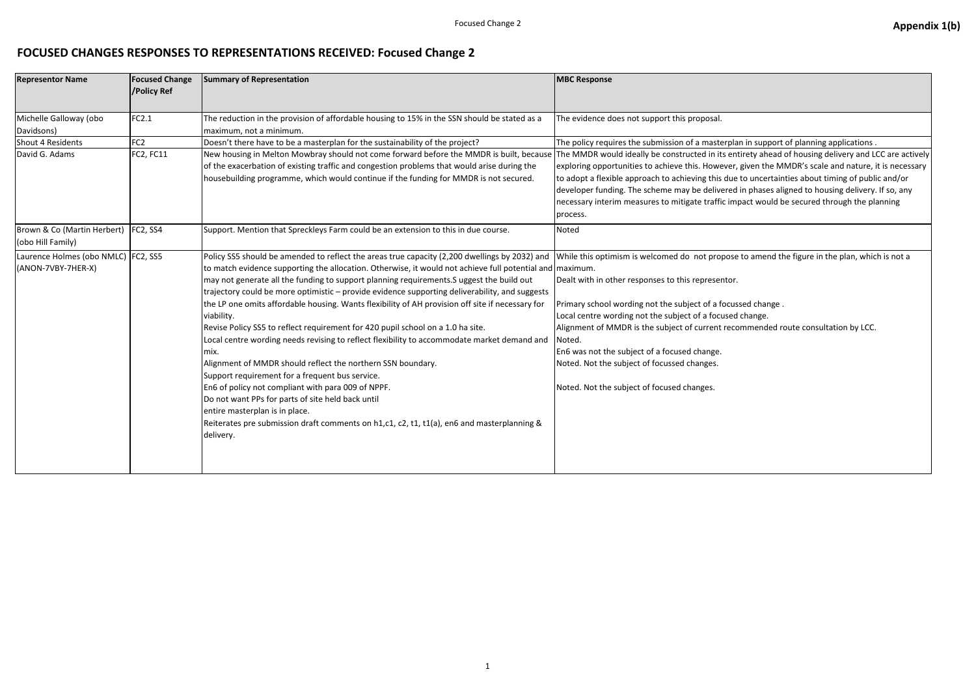# **FOCUSED CHANGES RESPONSES TO REPRESENTATIONS RECEIVED: Focused Change 2**

| <b>Representor Name</b>                                   | <b>Focused Change</b><br>/Policy Ref | <b>Summary of Representation</b>                                                                                                                                                                                                                                                                                                                                                                                                                                                                                                                                                                                                                                                                                                                                                                                                                                                                                                                                                                                                                                                              | <b>MBC Response</b>                                                                                                                                                                                                                                                                                                                                                                                                       |
|-----------------------------------------------------------|--------------------------------------|-----------------------------------------------------------------------------------------------------------------------------------------------------------------------------------------------------------------------------------------------------------------------------------------------------------------------------------------------------------------------------------------------------------------------------------------------------------------------------------------------------------------------------------------------------------------------------------------------------------------------------------------------------------------------------------------------------------------------------------------------------------------------------------------------------------------------------------------------------------------------------------------------------------------------------------------------------------------------------------------------------------------------------------------------------------------------------------------------|---------------------------------------------------------------------------------------------------------------------------------------------------------------------------------------------------------------------------------------------------------------------------------------------------------------------------------------------------------------------------------------------------------------------------|
| Michelle Galloway (obo<br>Davidsons)                      | FC2.1                                | The reduction in the provision of affordable housing to 15% in the SSN should be stated as a<br>maximum, not a minimum.                                                                                                                                                                                                                                                                                                                                                                                                                                                                                                                                                                                                                                                                                                                                                                                                                                                                                                                                                                       | The evidence does not support this proposal.                                                                                                                                                                                                                                                                                                                                                                              |
| Shout 4 Residents                                         | FC <sub>2</sub>                      | Doesn't there have to be a masterplan for the sustainability of the project?                                                                                                                                                                                                                                                                                                                                                                                                                                                                                                                                                                                                                                                                                                                                                                                                                                                                                                                                                                                                                  | The policy requires the submission of a masterpla                                                                                                                                                                                                                                                                                                                                                                         |
| David G. Adams                                            | FC2, FC11                            | New housing in Melton Mowbray should not come forward before the MMDR is built, because<br>of the exacerbation of existing traffic and congestion problems that would arise during the<br>housebuilding programme, which would continue if the funding for MMDR is not secured.                                                                                                                                                                                                                                                                                                                                                                                                                                                                                                                                                                                                                                                                                                                                                                                                               | The MMDR would ideally be constructed in its ent<br>exploring opportunities to achieve this. However,<br>to adopt a flexible approach to achieving this due<br>developer funding. The scheme may be delivered<br>necessary interim measures to mitigate traffic imp<br>process.                                                                                                                                           |
| Brown & Co (Martin Herbert)<br>(obo Hill Family)          | FC2, SS4                             | Support. Mention that Spreckleys Farm could be an extension to this in due course.                                                                                                                                                                                                                                                                                                                                                                                                                                                                                                                                                                                                                                                                                                                                                                                                                                                                                                                                                                                                            | Noted                                                                                                                                                                                                                                                                                                                                                                                                                     |
| Laurence Holmes (obo NMLC) FC2, SS5<br>(ANON-7VBY-7HER-X) |                                      | Policy SS5 should be amended to reflect the areas true capacity (2,200 dwellings by 2032) and<br>to match evidence supporting the allocation. Otherwise, it would not achieve full potential and maximum.<br>may not generate all the funding to support planning requirements. Suggest the build out<br>trajectory could be more optimistic - provide evidence supporting deliverability, and suggests<br>the LP one omits affordable housing. Wants flexibility of AH provision off site if necessary for<br>viability.<br>Revise Policy SS5 to reflect requirement for 420 pupil school on a 1.0 ha site.<br>Local centre wording needs revising to reflect flexibility to accommodate market demand and<br>mix.<br>Alignment of MMDR should reflect the northern SSN boundary.<br>Support requirement for a frequent bus service.<br>En6 of policy not compliant with para 009 of NPPF.<br>Do not want PPs for parts of site held back until<br>entire masterplan is in place.<br>Reiterates pre submission draft comments on h1,c1, c2, t1, t1(a), en6 and masterplanning &<br>delivery. | While this optimism is welcomed do not propose<br>Dealt with in other responses to this representor.<br>Primary school wording not the subject of a focus<br>Local centre wording not the subject of a focused<br>Alignment of MMDR is the subject of current reco<br>Noted.<br>En6 was not the subject of a focused change.<br>Noted. Not the subject of focussed changes.<br>Noted. Not the subject of focused changes. |

### Fout in support of planning applications .

ntirety ahead of housing delivery and LCC are actively r, given the MMDR's scale and nature, it is necessary e to uncertainties about timing of public and/or d in phases aligned to housing delivery. If so, any npact would be secured through the planning

### $\overline{\text{se}}$  to amend the figure in the plan, which is not a

issed change .

- d change.
- commended route consultation by LCC.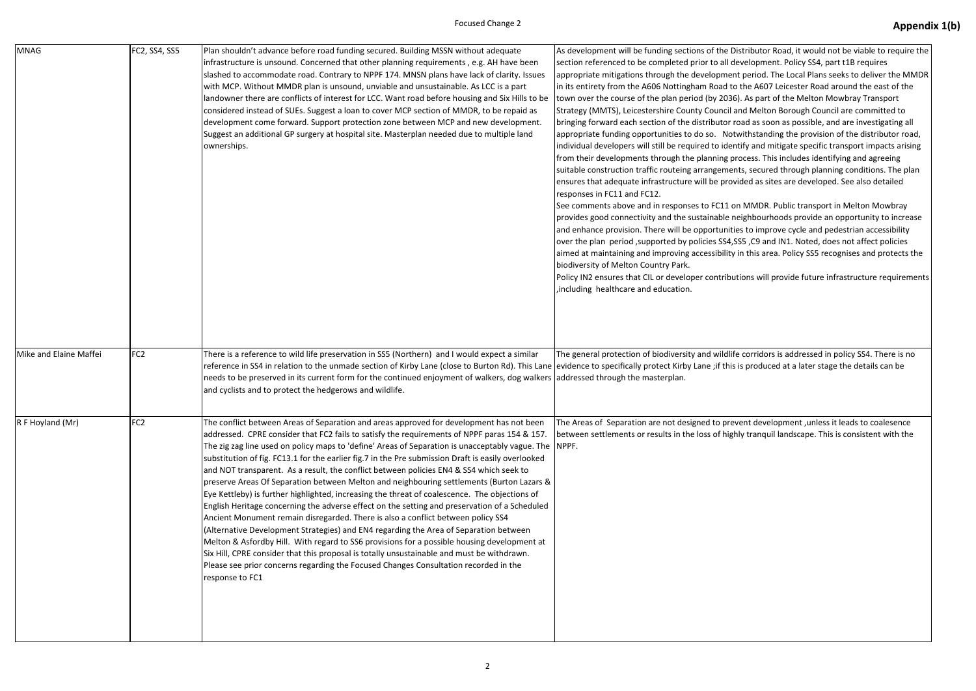| <b>MNAG</b>            | FC2, SS4, SS5   | Plan shouldn't advance before road funding secured. Building MSSN without adequate<br>infrastructure is unsound. Concerned that other planning requirements, e.g. AH have been<br>slashed to accommodate road. Contrary to NPPF 174. MNSN plans have lack of clarity. Issues<br>with MCP. Without MMDR plan is unsound, unviable and unsustainable. As LCC is a part<br>landowner there are conflicts of interest for LCC. Want road before housing and Six Hills to be<br>considered instead of SUEs. Suggest a loan to cover MCP section of MMDR, to be repaid as<br>development come forward. Support protection zone between MCP and new development.<br>Suggest an additional GP surgery at hospital site. Masterplan needed due to multiple land<br>ownerships.                                                                                                                                                                                                                                                                                                                                                                                                                                                                                                            | As development will be funding sections of the I<br>section referenced to be completed prior to all o<br>appropriate mitigations through the developmer<br>in its entirety from the A606 Nottingham Road to<br>town over the course of the plan period (by 203<br>Strategy (MMTS), Leicestershire County Council<br>bringing forward each section of the distributor<br>appropriate funding opportunities to do so. No<br>individual developers will still be required to ide<br>from their developments through the planning p<br>suitable construction traffic routeing arrangeme<br>ensures that adequate infrastructure will be pro<br>responses in FC11 and FC12.<br>See comments above and in responses to FC11 of<br>provides good connectivity and the sustainable r<br>and enhance provision. There will be opportunit<br>over the plan period, supported by policies SS4,<br>aimed at maintaining and improving accessibility<br>biodiversity of Melton Country Park.<br>Policy IN2 ensures that CIL or developer contribu<br>, including healthcare and education. |
|------------------------|-----------------|----------------------------------------------------------------------------------------------------------------------------------------------------------------------------------------------------------------------------------------------------------------------------------------------------------------------------------------------------------------------------------------------------------------------------------------------------------------------------------------------------------------------------------------------------------------------------------------------------------------------------------------------------------------------------------------------------------------------------------------------------------------------------------------------------------------------------------------------------------------------------------------------------------------------------------------------------------------------------------------------------------------------------------------------------------------------------------------------------------------------------------------------------------------------------------------------------------------------------------------------------------------------------------|-------------------------------------------------------------------------------------------------------------------------------------------------------------------------------------------------------------------------------------------------------------------------------------------------------------------------------------------------------------------------------------------------------------------------------------------------------------------------------------------------------------------------------------------------------------------------------------------------------------------------------------------------------------------------------------------------------------------------------------------------------------------------------------------------------------------------------------------------------------------------------------------------------------------------------------------------------------------------------------------------------------------------------------------------------------------------------|
| Mike and Elaine Maffei | FC <sub>2</sub> | There is a reference to wild life preservation in SS5 (Northern) and I would expect a similar<br>reference in SS4 in relation to the unmade section of Kirby Lane (close to Burton Rd). This Lane (evidence to specifically protect Kirby Lane ;if this<br>needs to be preserved in its current form for the continued enjoyment of walkers, dog walkers and ressed through the masterplan.<br>and cyclists and to protect the hedgerows and wildlife.                                                                                                                                                                                                                                                                                                                                                                                                                                                                                                                                                                                                                                                                                                                                                                                                                           | The general protection of biodiversity and wildlit                                                                                                                                                                                                                                                                                                                                                                                                                                                                                                                                                                                                                                                                                                                                                                                                                                                                                                                                                                                                                            |
| R F Hoyland (Mr)       | FC <sub>2</sub> | The conflict between Areas of Separation and areas approved for development has not been<br>addressed. CPRE consider that FC2 fails to satisfy the requirements of NPPF paras 154 & 157.<br>The zig zag line used on policy maps to 'define' Areas of Separation is unacceptably vague. The<br>substitution of fig. FC13.1 for the earlier fig.7 in the Pre submission Draft is easily overlooked<br>and NOT transparent. As a result, the conflict between policies EN4 & SS4 which seek to<br>preserve Areas Of Separation between Melton and neighbouring settlements (Burton Lazars &<br>Eye Kettleby) is further highlighted, increasing the threat of coalescence. The objections of<br>English Heritage concerning the adverse effect on the setting and preservation of a Scheduled<br>Ancient Monument remain disregarded. There is also a conflict between policy SS4<br>(Alternative Development Strategies) and EN4 regarding the Area of Separation between<br>Melton & Asfordby Hill. With regard to SS6 provisions for a possible housing development at<br>Six Hill, CPRE consider that this proposal is totally unsustainable and must be withdrawn.<br>Please see prior concerns regarding the Focused Changes Consultation recorded in the<br>response to FC1 | The Areas of Separation are not designed to pre<br>between settlements or results in the loss of hig<br>NPPF.                                                                                                                                                                                                                                                                                                                                                                                                                                                                                                                                                                                                                                                                                                                                                                                                                                                                                                                                                                 |

Distributor Road, it would not be viable to require the development. Policy SS4, part t1B requires ent period. The Local Plans seeks to deliver the MMDR to the A607 Leicester Road around the east of the 16). As part of the Melton Mowbray Transport and Melton Borough Council are committed to road as soon as possible, and are investigating all btwithstanding the provision of the distributor road, entify and mitigate specific transport impacts arising process. This includes identifying and agreeing ents, secured through planning conditions. The plan ovided as sites are developed. See also detailed

on MMDR. Public transport in Melton Mowbray neighbourhoods provide an opportunity to increase ties to improve cycle and pedestrian accessibility ,SS5 ,C9 and IN1. Noted, does not affect policies y in this area. Policy SS5 recognises and protects the

utions will provide future infrastructure requirements

ife corridors is addressed in policy SS4. There is no is is produced at a later stage the details can be

event development ,unless it leads to coalesence ghly tranquil landscape. This is consistent with the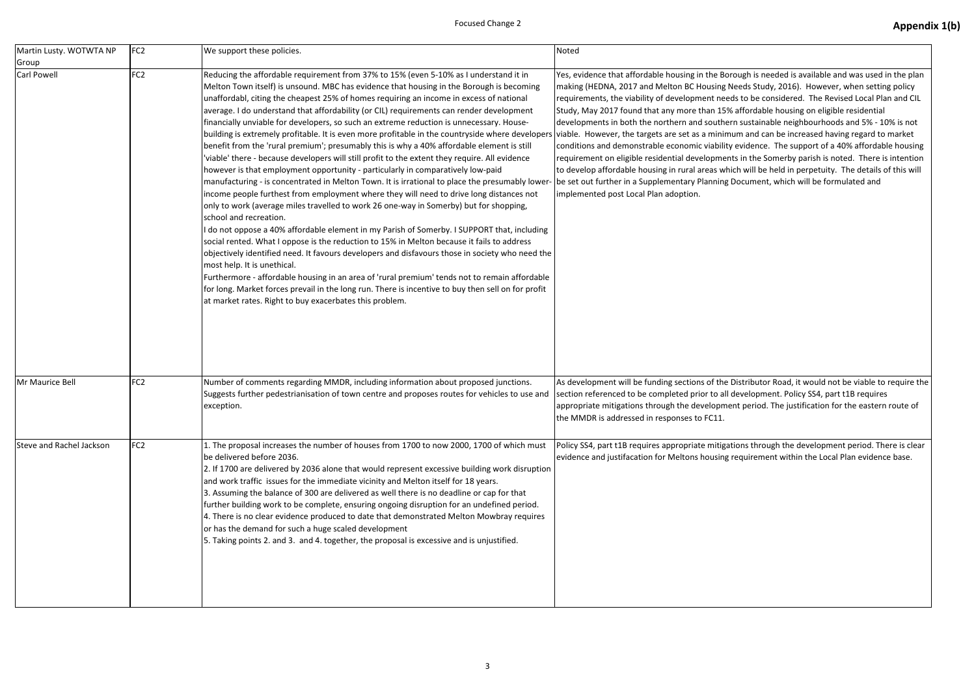| Martin Lusty. WOTWTA NP  | FC <sub>2</sub> | We support these policies.                                                                                                                                                                                                                                                                                                                                                                                                                                                                                                                                                                                                                                                                                                                                                                                                                                                                                                                                                                                                                                                                                                                                                                                                                                                                                                                                                                                                                                                                                                                                                                                                                                                                                                                                                 | Noted                                                                                                                                                                                                                                                                                                                                                                                                                                                                                                                                                                      |
|--------------------------|-----------------|----------------------------------------------------------------------------------------------------------------------------------------------------------------------------------------------------------------------------------------------------------------------------------------------------------------------------------------------------------------------------------------------------------------------------------------------------------------------------------------------------------------------------------------------------------------------------------------------------------------------------------------------------------------------------------------------------------------------------------------------------------------------------------------------------------------------------------------------------------------------------------------------------------------------------------------------------------------------------------------------------------------------------------------------------------------------------------------------------------------------------------------------------------------------------------------------------------------------------------------------------------------------------------------------------------------------------------------------------------------------------------------------------------------------------------------------------------------------------------------------------------------------------------------------------------------------------------------------------------------------------------------------------------------------------------------------------------------------------------------------------------------------------|----------------------------------------------------------------------------------------------------------------------------------------------------------------------------------------------------------------------------------------------------------------------------------------------------------------------------------------------------------------------------------------------------------------------------------------------------------------------------------------------------------------------------------------------------------------------------|
| Group<br>Carl Powell     | FC <sub>2</sub> | Reducing the affordable requirement from 37% to 15% (even 5-10% as I understand it in<br>Melton Town itself) is unsound. MBC has evidence that housing in the Borough is becoming<br>unaffordabl, citing the cheapest 25% of homes requiring an income in excess of national<br>average. I do understand that affordability (or CIL) requirements can render development<br>financially unviable for developers, so such an extreme reduction is unnecessary. House-<br>building is extremely profitable. It is even more profitable in the countryside where developers<br>benefit from the 'rural premium'; presumably this is why a 40% affordable element is still<br>viable' there - because developers will still profit to the extent they require. All evidence<br>however is that employment opportunity - particularly in comparatively low-paid<br>manufacturing - is concentrated in Melton Town. It is irrational to place the presumably lower<br>income people furthest from employment where they will need to drive long distances not<br>only to work (average miles travelled to work 26 one-way in Somerby) but for shopping,<br>school and recreation.<br>do not oppose a 40% affordable element in my Parish of Somerby. I SUPPORT that, including<br>social rented. What I oppose is the reduction to 15% in Melton because it fails to address<br>objectively identified need. It favours developers and disfavours those in society who need the<br>most help. It is unethical.<br>Furthermore - affordable housing in an area of 'rural premium' tends not to remain affordable<br>for long. Market forces prevail in the long run. There is incentive to buy then sell on for profit<br>at market rates. Right to buy exacerbates this problem. | Yes, evidence that affordable housing in the Boro<br>making (HEDNA, 2017 and Melton BC Housing Ne<br>requirements, the viability of development needs<br>Study, May 2017 found that any more than 15% a<br>developments in both the northern and southern<br>viable. However, the targets are set as a minimur<br>conditions and demonstrable economic viability e<br>requirement on eligible residential developments<br>to develop affordable housing in rural areas which<br>be set out further in a Supplementary Planning Do<br>implemented post Local Plan adoption. |
| Mr Maurice Bell          | FC <sub>2</sub> | Number of comments regarding MMDR, including information about proposed junctions.<br>Suggests further pedestrianisation of town centre and proposes routes for vehicles to use and<br>exception.                                                                                                                                                                                                                                                                                                                                                                                                                                                                                                                                                                                                                                                                                                                                                                                                                                                                                                                                                                                                                                                                                                                                                                                                                                                                                                                                                                                                                                                                                                                                                                          | As development will be funding sections of the Di<br>section referenced to be completed prior to all de<br>appropriate mitigations through the development<br>the MMDR is addressed in responses to FC11.                                                                                                                                                                                                                                                                                                                                                                  |
| Steve and Rachel Jackson | FC <sub>2</sub> | 1. The proposal increases the number of houses from 1700 to now 2000, 1700 of which must<br>be delivered before 2036.<br>2. If 1700 are delivered by 2036 alone that would represent excessive building work disruption<br>and work traffic issues for the immediate vicinity and Melton itself for 18 years.<br>3. Assuming the balance of 300 are delivered as well there is no deadline or cap for that<br>further building work to be complete, ensuring ongoing disruption for an undefined period.<br>4. There is no clear evidence produced to date that demonstrated Melton Mowbray requires<br>or has the demand for such a huge scaled development<br>5. Taking points 2. and 3. and 4. together, the proposal is excessive and is unjustified.                                                                                                                                                                                                                                                                                                                                                                                                                                                                                                                                                                                                                                                                                                                                                                                                                                                                                                                                                                                                                  | Policy SS4, part t1B requires appropriate mitigatic<br>evidence and justifacation for Meltons housing re                                                                                                                                                                                                                                                                                                                                                                                                                                                                   |

ough is needed is available and was used in the plan eds Study, 2016). However, when setting policy s to be considered. The Revised Local Plan and CIL affordable housing on eligible residential

i sustainable neighbourhoods and 5% - 10% is not m and can be increased having regard to market evidence. The support of a 40% affordable housing in the Somerby parish is noted. There is intention h will be held in perpetuity. The details of this will ocument, which will be formulated and

istributor Road, it would not be viable to require the evelopment. Policy SS4, part t1B requires t period. The justification for the eastern route of

ons through the development period. There is clear equirement within the Local Plan evidence base.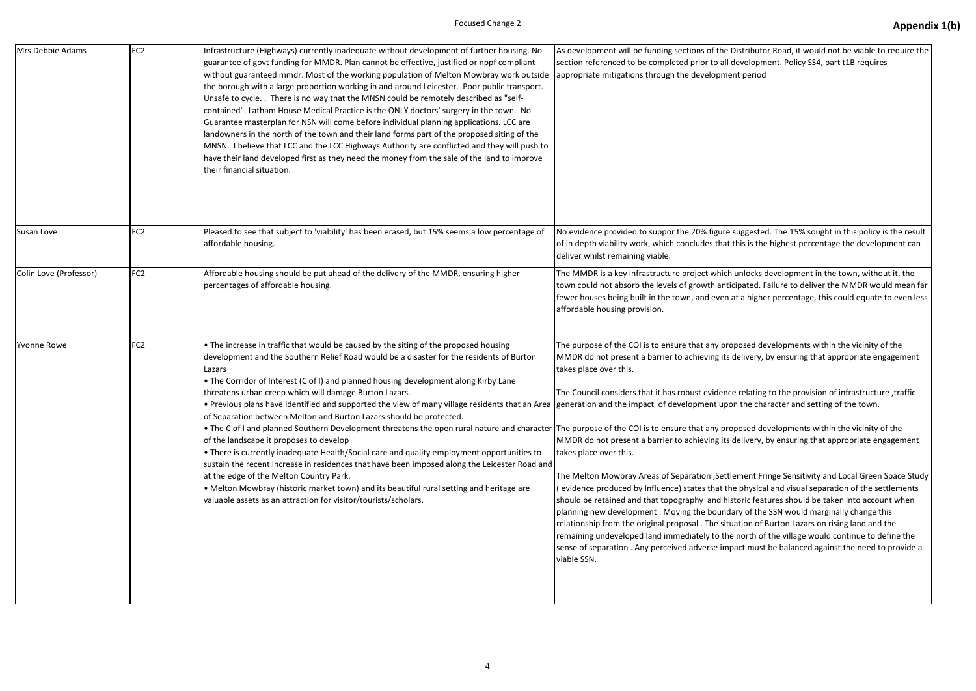| Mrs Debbie Adams       | FC <sub>2</sub> | Infrastructure (Highways) currently inadequate without development of further housing. No<br>guarantee of govt funding for MMDR. Plan cannot be effective, justified or nppf compliant<br>without guaranteed mmdr. Most of the working population of Melton Mowbray work outside<br>the borough with a large proportion working in and around Leicester. Poor public transport.<br>Unsafe to cycle. . There is no way that the MNSN could be remotely described as "self-<br>contained". Latham House Medical Practice is the ONLY doctors' surgery in the town. No<br>Guarantee masterplan for NSN will come before individual planning applications. LCC are<br>landowners in the north of the town and their land forms part of the proposed siting of the<br>MNSN. I believe that LCC and the LCC Highways Authority are conflicted and they will push to<br>have their land developed first as they need the money from the sale of the land to improve<br>their financial situation.                                                                                                                                                                               | As development will be funding sections of the D<br>section referenced to be completed prior to all d<br>appropriate mitigations through the developmer                                                                                                                                                                                                                                                                                                                                                                                                                                                                                              |
|------------------------|-----------------|--------------------------------------------------------------------------------------------------------------------------------------------------------------------------------------------------------------------------------------------------------------------------------------------------------------------------------------------------------------------------------------------------------------------------------------------------------------------------------------------------------------------------------------------------------------------------------------------------------------------------------------------------------------------------------------------------------------------------------------------------------------------------------------------------------------------------------------------------------------------------------------------------------------------------------------------------------------------------------------------------------------------------------------------------------------------------------------------------------------------------------------------------------------------------|------------------------------------------------------------------------------------------------------------------------------------------------------------------------------------------------------------------------------------------------------------------------------------------------------------------------------------------------------------------------------------------------------------------------------------------------------------------------------------------------------------------------------------------------------------------------------------------------------------------------------------------------------|
| Susan Love             | FC <sub>2</sub> | Pleased to see that subject to 'viability' has been erased, but 15% seems a low percentage of<br>affordable housing.                                                                                                                                                                                                                                                                                                                                                                                                                                                                                                                                                                                                                                                                                                                                                                                                                                                                                                                                                                                                                                                     | No evidence provided to suppor the 20% figure s<br>of in depth viability work, which concludes that t<br>deliver whilst remaining viable.                                                                                                                                                                                                                                                                                                                                                                                                                                                                                                            |
| Colin Love (Professor) | FC <sub>2</sub> | Affordable housing should be put ahead of the delivery of the MMDR, ensuring higher<br>percentages of affordable housing.                                                                                                                                                                                                                                                                                                                                                                                                                                                                                                                                                                                                                                                                                                                                                                                                                                                                                                                                                                                                                                                | The MMDR is a key infrastructure project which i<br>town could not absorb the levels of growth antic<br>fewer houses being built in the town, and even a<br>affordable housing provision.                                                                                                                                                                                                                                                                                                                                                                                                                                                            |
| <b>Yvonne Rowe</b>     | FC <sub>2</sub> | • The increase in traffic that would be caused by the siting of the proposed housing<br>development and the Southern Relief Road would be a disaster for the residents of Burton<br>Lazars<br>• The Corridor of Interest (C of I) and planned housing development along Kirby Lane<br>threatens urban creep which will damage Burton Lazars.<br>• Previous plans have identified and supported the view of many village residents that an Area generation and the impact of development upor<br>of Separation between Melton and Burton Lazars should be protected.<br>• The C of I and planned Southern Development threatens the open rural nature and character The purpose of the COI is to ensure that any prop<br>of the landscape it proposes to develop<br>• There is currently inadequate Health/Social care and quality employment opportunities to<br>sustain the recent increase in residences that have been imposed along the Leicester Road and<br>at the edge of the Melton Country Park.<br>• Melton Mowbray (historic market town) and its beautiful rural setting and heritage are<br>valuable assets as an attraction for visitor/tourists/scholars. | The purpose of the COI is to ensure that any prop<br>MMDR do not present a barrier to achieving its d<br>takes place over this.<br>The Council considers that it has robust evidence<br>MMDR do not present a barrier to achieving its d<br>takes place over this.<br>The Melton Mowbray Areas of Separation, Settle<br>(evidence produced by Influence) states that the<br>should be retained and that topography and hist<br>planning new development. Moving the bounda<br>relationship from the original proposal. The situa<br>remaining undeveloped land immediately to the<br>sense of separation . Any perceived adverse impa<br>viable SSN. |

Distributor Road, it would not be viable to require the development. Policy SS4, part t1B requires nt period

suggested. The 15% sought in this policy is the result this is the highest percentage the development can

unlocks development in the town, without it, the tipated. Failure to deliver the MMDR would mean far at a higher percentage, this could equate to even less

posed developments within the vicinity of the delivery, by ensuring that appropriate engagement

the provision of infrastructure ,traffic it relating to the provision of infrastructure n the character and setting of the town.

posed developments within the vicinity of the delivery, by ensuring that appropriate engagement

ement Fringe Sensitivity and Local Green Space Study physical and visual separation of the settlements toric features should be taken into account when ary of the SSN would marginally change this ation of Burton Lazars on rising land and the  $\epsilon$  north of the village would continue to define the act must be balanced against the need to provide a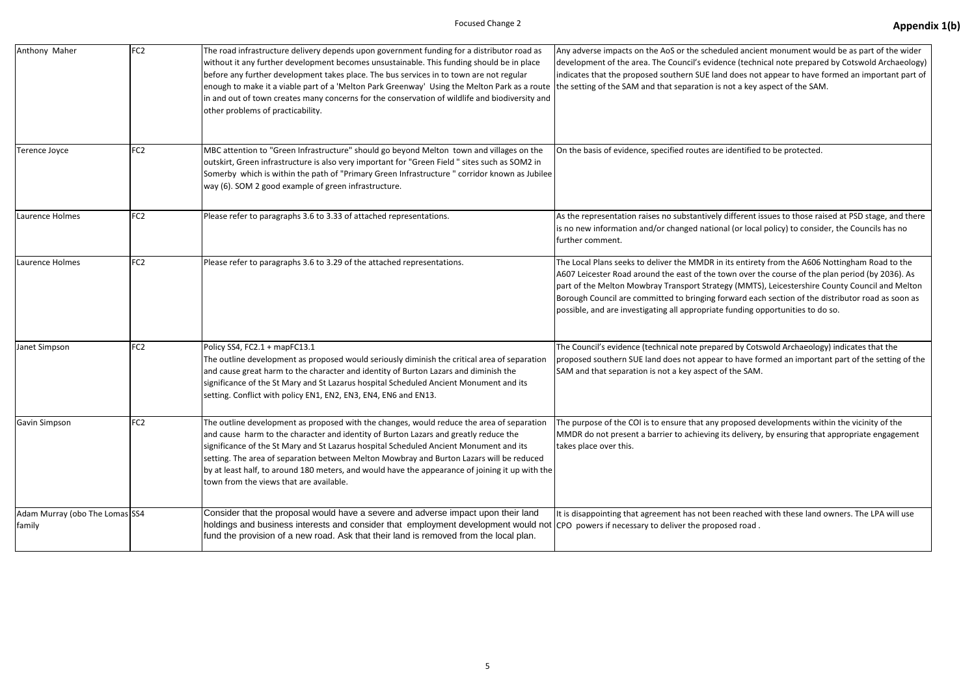| Anthony Maher                            | FC <sub>2</sub> | The road infrastructure delivery depends upon government funding for a distributor road as<br>without it any further development becomes unsustainable. This funding should be in place<br>before any further development takes place. The bus services in to town are not regular<br>enough to make it a viable part of a 'Melton Park Greenway' Using the Melton Park as a route<br>in and out of town creates many concerns for the conservation of wildlife and biodiversity and<br>other problems of practicability. | Any adverse impacts on the AoS or the scheduled<br>development of the area. The Council's evidence<br>indicates that the proposed southern SUE land do<br>the setting of the SAM and that separation is not                                                      |
|------------------------------------------|-----------------|---------------------------------------------------------------------------------------------------------------------------------------------------------------------------------------------------------------------------------------------------------------------------------------------------------------------------------------------------------------------------------------------------------------------------------------------------------------------------------------------------------------------------|------------------------------------------------------------------------------------------------------------------------------------------------------------------------------------------------------------------------------------------------------------------|
| Terence Joyce                            | FC <sub>2</sub> | MBC attention to "Green Infrastructure" should go beyond Melton town and villages on the<br>outskirt, Green infrastructure is also very important for "Green Field " sites such as SOM2 in<br>Somerby which is within the path of "Primary Green Infrastructure" corridor known as Jubilee<br>way (6). SOM 2 good example of green infrastructure.                                                                                                                                                                        | On the basis of evidence, specified routes are ide                                                                                                                                                                                                               |
| Laurence Holmes                          | FC <sub>2</sub> | Please refer to paragraphs 3.6 to 3.33 of attached representations.                                                                                                                                                                                                                                                                                                                                                                                                                                                       | As the representation raises no substantively diff<br>is no new information and/or changed national (on<br>further comment.                                                                                                                                      |
| Laurence Holmes                          | FC <sub>2</sub> | Please refer to paragraphs 3.6 to 3.29 of the attached representations.                                                                                                                                                                                                                                                                                                                                                                                                                                                   | The Local Plans seeks to deliver the MMDR in its<br>A607 Leicester Road around the east of the town<br>part of the Melton Mowbray Transport Strategy (<br>Borough Council are committed to bringing forwa<br>possible, and are investigating all appropriate fun |
| Janet Simpson                            | FC <sub>2</sub> | Policy SS4, FC2.1 + mapFC13.1<br>The outline development as proposed would seriously diminish the critical area of separation<br>and cause great harm to the character and identity of Burton Lazars and diminish the<br>significance of the St Mary and St Lazarus hospital Scheduled Ancient Monument and its<br>setting. Conflict with policy EN1, EN2, EN3, EN4, EN6 and EN13.                                                                                                                                        | The Council's evidence (technical note prepared I<br>proposed southern SUE land does not appear to I<br>SAM and that separation is not a key aspect of th                                                                                                        |
| <b>Gavin Simpson</b>                     | FC <sub>2</sub> | The outline development as proposed with the changes, would reduce the area of separation<br>and cause harm to the character and identity of Burton Lazars and greatly reduce the<br>significance of the St Mary and St Lazarus hospital Scheduled Ancient Monument and its<br>setting. The area of separation between Melton Mowbray and Burton Lazars will be reduced<br>by at least half, to around 180 meters, and would have the appearance of joining it up with the<br>town from the views that are available.     | The purpose of the COI is to ensure that any prop<br>MMDR do not present a barrier to achieving its d<br>takes place over this.                                                                                                                                  |
| Adam Murray (obo The Lomas SS4<br>family |                 | Consider that the proposal would have a severe and adverse impact upon their land<br>holdings and business interests and consider that employment development would not CPO powers if necessary to deliver the proposed<br>fund the provision of a new road. Ask that their land is removed from the local plan.                                                                                                                                                                                                          | It is disappointing that agreement has not been re                                                                                                                                                                                                               |

d ancient monument would be as part of the wider dechnical note prepared by Cotswold Archaeology) oes not appear to have formed an important part of t a key aspect of the SAM.

entified to be protected.

Ferent issues to those raised at PSD stage, and there or local policy) to consider, the Councils has no

entirety from the A606 Nottingham Road to the over the course of the plan period (by 2036). As (MMTS), Leicestershire County Council and Melton ard each section of the distributor road as soon as nding opportunities to do so.

by Cotswold Archaeology) indicates that the have formed an important part of the setting of the he SAM.

oosed developments within the vicinity of the delivery, by ensuring that appropriate engagement

reached with these land owners. The LPA will use road.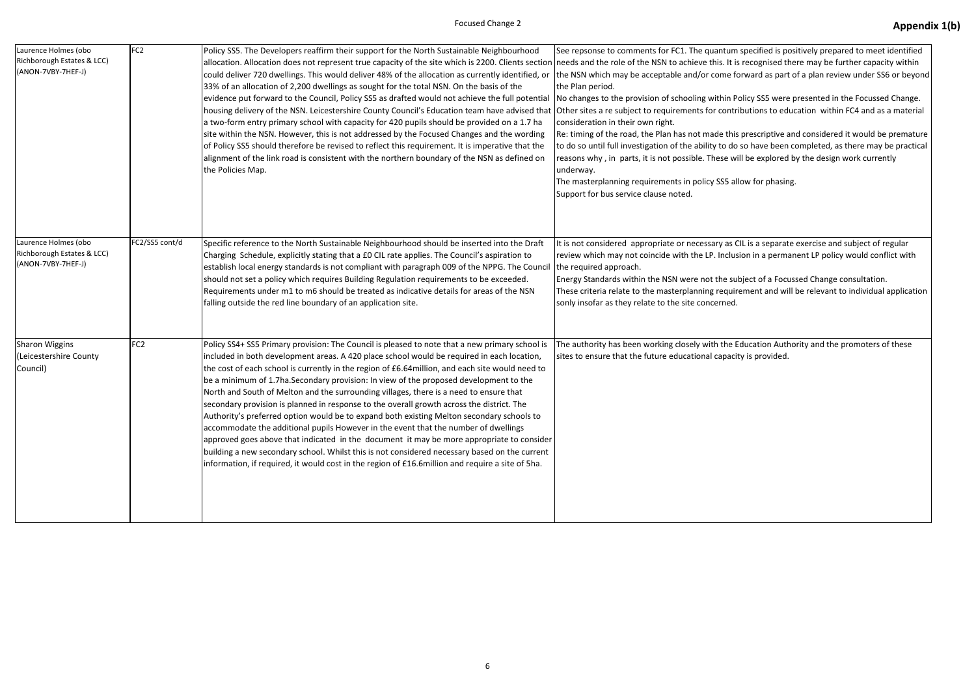| Laurence Holmes (obo<br>Richborough Estates & LCC)<br>(ANON-7VBY-7HEF-J) | FC <sub>2</sub> | Policy SS5. The Developers reaffirm their support for the North Sustainable Neighbourhood<br>allocation. Allocation does not represent true capacity of the site which is 2200. Clients section needs and the role of the NSN to achieve this. It is<br>could deliver 720 dwellings. This would deliver 48% of the allocation as currently identified, or<br>33% of an allocation of 2,200 dwellings as sought for the total NSN. On the basis of the<br>evidence put forward to the Council, Policy SS5 as drafted would not achieve the full potential<br>housing delivery of the NSN. Leicestershire County Council's Education team have advised that Other sites a re subject to requirements for contr<br>a two-form entry primary school with capacity for 420 pupils should be provided on a 1.7 ha<br>site within the NSN. However, this is not addressed by the Focused Changes and the wording<br>of Policy SS5 should therefore be revised to reflect this requirement. It is imperative that the<br>alignment of the link road is consistent with the northern boundary of the NSN as defined on<br>the Policies Map. | See repsonse to comments for FC1. The quantum<br>the NSN which may be acceptable and/or come fo<br>the Plan period.<br>No changes to the provision of schooling within P<br>consideration in their own right.<br>Re: timing of the road, the Plan has not made this<br>to do so until full investigation of the ability to do<br>reasons why, in parts, it is not possible. These w<br>underway.<br>The masterplanning requirements in policy SS5 al<br>Support for bus service clause noted. |
|--------------------------------------------------------------------------|-----------------|------------------------------------------------------------------------------------------------------------------------------------------------------------------------------------------------------------------------------------------------------------------------------------------------------------------------------------------------------------------------------------------------------------------------------------------------------------------------------------------------------------------------------------------------------------------------------------------------------------------------------------------------------------------------------------------------------------------------------------------------------------------------------------------------------------------------------------------------------------------------------------------------------------------------------------------------------------------------------------------------------------------------------------------------------------------------------------------------------------------------------------|-----------------------------------------------------------------------------------------------------------------------------------------------------------------------------------------------------------------------------------------------------------------------------------------------------------------------------------------------------------------------------------------------------------------------------------------------------------------------------------------------|
| Laurence Holmes (obo<br>Richborough Estates & LCC)<br>(ANON-7VBY-7HEF-J) | FC2/SS5 cont/d  | Specific reference to the North Sustainable Neighbourhood should be inserted into the Draft<br>Charging Schedule, explicitly stating that a £0 CIL rate applies. The Council's aspiration to<br>establish local energy standards is not compliant with paragraph 009 of the NPPG. The Council<br>should not set a policy which requires Building Regulation requirements to be exceeded.<br>Requirements under m1 to m6 should be treated as indicative details for areas of the NSN<br>falling outside the red line boundary of an application site.                                                                                                                                                                                                                                                                                                                                                                                                                                                                                                                                                                              | It is not considered appropriate or necessary as O<br>review which may not coincide with the LP. Inclus<br>the required approach.<br>Energy Standards within the NSN were not the su<br>These criteria relate to the masterplanning requir<br>sonly insofar as they relate to the site concerned.                                                                                                                                                                                             |
| <b>Sharon Wiggins</b><br>(Leicestershire County<br>Council)              | FC <sub>2</sub> | Policy SS4+ SS5 Primary provision: The Council is pleased to note that a new primary school is<br>included in both development areas. A 420 place school would be required in each location,<br>the cost of each school is currently in the region of £6.64 million, and each site would need to<br>be a minimum of 1.7ha. Secondary provision: In view of the proposed development to the<br>North and South of Melton and the surrounding villages, there is a need to ensure that<br>secondary provision is planned in response to the overall growth across the district. The<br>Authority's preferred option would be to expand both existing Melton secondary schools to<br>accommodate the additional pupils However in the event that the number of dwellings<br>approved goes above that indicated in the document it may be more appropriate to consider<br>building a new secondary school. Whilst this is not considered necessary based on the current<br>information, if required, it would cost in the region of £16.6million and require a site of 5ha.                                                            | The authority has been working closely with the E<br>sites to ensure that the future educational capaci                                                                                                                                                                                                                                                                                                                                                                                       |

m specified is positively prepared to meet identified is recognised there may be further capacity within forward as part of a plan review under SS6 or beyond

Policy SS5 were presented in the Focussed Change. cributions to education within FC4 and as a material

is prescriptive and considered it would be premature o so have been completed, as there may be practical vill be explored by the design work currently

allow for phasing.

CIL is a separate exercise and subject of regular ision in a permanent LP policy would conflict with

ubject of a Focussed Change consultation. irement and will be relevant to individual application

Education Authority and the promoters of these sity is provided.